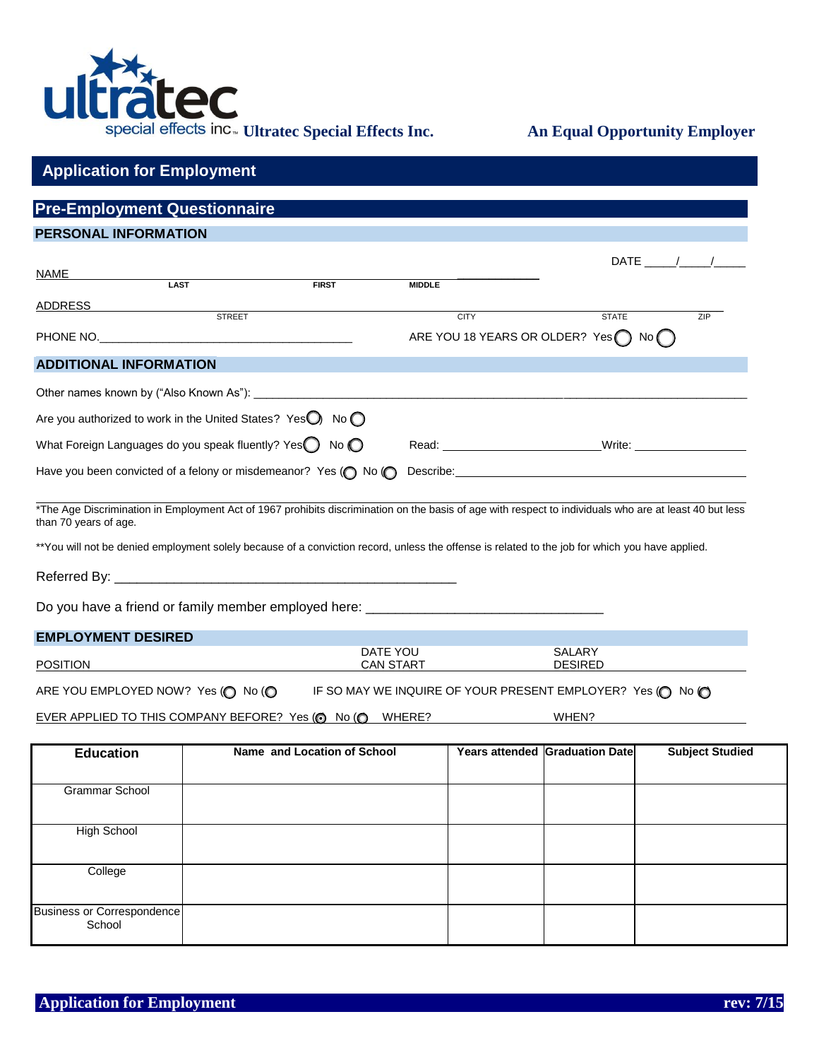

|                               | <b>Pre-Employment Questionnaire</b>                                           |                                                                                                                                                 |                  |             |                                                                                                                                                                                                                               |                        |
|-------------------------------|-------------------------------------------------------------------------------|-------------------------------------------------------------------------------------------------------------------------------------------------|------------------|-------------|-------------------------------------------------------------------------------------------------------------------------------------------------------------------------------------------------------------------------------|------------------------|
| <b>PERSONAL INFORMATION</b>   |                                                                               |                                                                                                                                                 |                  |             |                                                                                                                                                                                                                               |                        |
|                               |                                                                               |                                                                                                                                                 |                  |             |                                                                                                                                                                                                                               | $DATE$ / /             |
| NAME                          | <b>LAST</b>                                                                   | <b>FIRST</b>                                                                                                                                    | <b>MIDDLE</b>    |             |                                                                                                                                                                                                                               |                        |
|                               | <b>STREET</b>                                                                 |                                                                                                                                                 |                  | <b>CITY</b> | <b>STATE</b>                                                                                                                                                                                                                  | ZIP                    |
|                               |                                                                               |                                                                                                                                                 |                  |             | ARE YOU 18 YEARS OR OLDER? Yes No                                                                                                                                                                                             |                        |
| <b>ADDITIONAL INFORMATION</b> |                                                                               |                                                                                                                                                 |                  |             |                                                                                                                                                                                                                               |                        |
|                               |                                                                               |                                                                                                                                                 |                  |             |                                                                                                                                                                                                                               |                        |
|                               |                                                                               |                                                                                                                                                 |                  |             | the control of the control of the control of the control of the control of the control of the control of the control of the control of the control of the control of the control of the control of the control of the control |                        |
|                               | Are you authorized to work in the United States? Yes $\bigcirc$ No $\bigcirc$ |                                                                                                                                                 |                  |             |                                                                                                                                                                                                                               |                        |
|                               | What Foreign Languages do you speak fluently? Yes $\bigcirc$ No $\bigcirc$    |                                                                                                                                                 |                  |             | Read: Note: Note: Note: Note: Note: Note: Note: Note: Note: Note: Note: Note: Note: Note: Note: Note: Note: Note: Note: Note: Note: Note: Note: Note: Note: Note: Note: Note: Note: Note: Note: Note: Note: Note: Note: Note: |                        |
|                               |                                                                               | Have you been convicted of a felony or misdemeanor? Yes (O No (O                                                                                |                  |             |                                                                                                                                                                                                                               |                        |
| than 70 years of age.         |                                                                               | **You will not be denied employment solely because of a conviction record, unless the offense is related to the job for which you have applied. |                  |             | *The Age Discrimination in Employment Act of 1967 prohibits discrimination on the basis of age with respect to individuals who are at least 40 but less                                                                       |                        |
|                               |                                                                               | Do you have a friend or family member employed here: ___________________________                                                                |                  |             |                                                                                                                                                                                                                               |                        |
| <b>EMPLOYMENT DESIRED</b>     |                                                                               |                                                                                                                                                 |                  |             |                                                                                                                                                                                                                               |                        |
|                               |                                                                               |                                                                                                                                                 | DATE YOU         |             | SALARY                                                                                                                                                                                                                        |                        |
| <b>POSITION</b>               |                                                                               |                                                                                                                                                 | <b>CAN START</b> |             | <b>DESIRED</b>                                                                                                                                                                                                                |                        |
|                               |                                                                               | ARE YOU EMPLOYED NOW? Yes ( $\bigcirc$ No ( $\bigcirc$ IF SO MAY WE INQUIRE OF YOUR PRESENT EMPLOYER? Yes $\bigcirc$ No $\bigcirc$              |                  |             |                                                                                                                                                                                                                               |                        |
|                               |                                                                               | EVER APPLIED TO THIS COMPANY BEFORE? Yes (@ No (@ WHERE?                                                                                        |                  |             | WHEN?                                                                                                                                                                                                                         |                        |
| <b>Education</b>              |                                                                               | Name and Location of School                                                                                                                     |                  |             | Years attended Graduation Date                                                                                                                                                                                                | <b>Subject Studied</b> |
| <b>Grammar School</b>         |                                                                               |                                                                                                                                                 |                  |             |                                                                                                                                                                                                                               |                        |
| <b>High School</b>            |                                                                               |                                                                                                                                                 |                  |             |                                                                                                                                                                                                                               |                        |
| College                       |                                                                               |                                                                                                                                                 |                  |             |                                                                                                                                                                                                                               |                        |